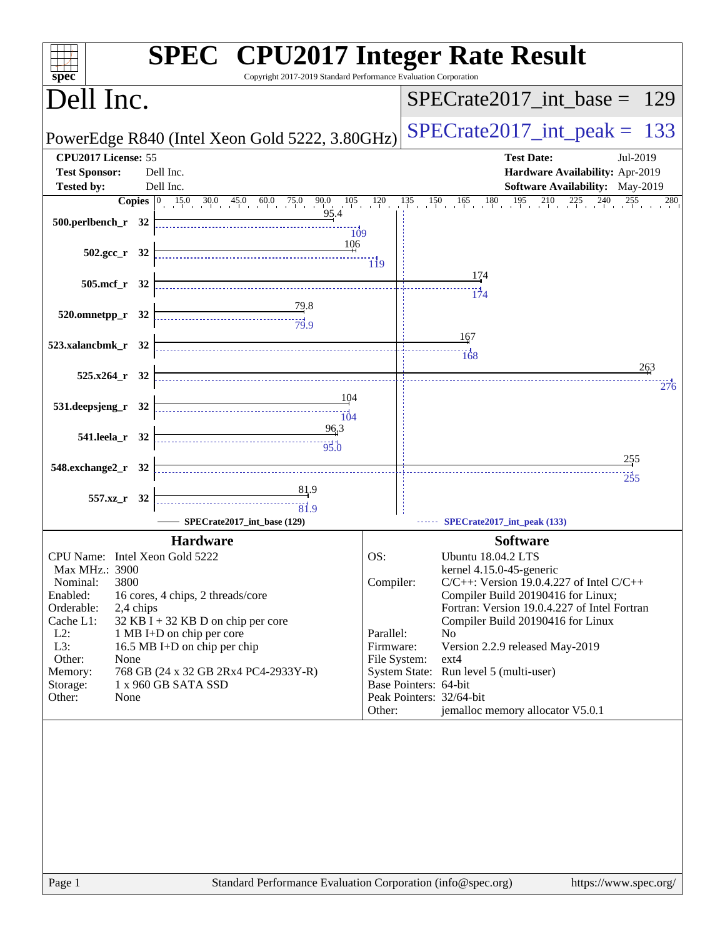| Copyright 2017-2019 Standard Performance Evaluation Corporation<br>$spec^*$                                                                                                                                                                                                                                                                                                                                                                 | <b>SPEC<sup>®</sup></b> CPU2017 Integer Rate Result                                                                                                                |
|---------------------------------------------------------------------------------------------------------------------------------------------------------------------------------------------------------------------------------------------------------------------------------------------------------------------------------------------------------------------------------------------------------------------------------------------|--------------------------------------------------------------------------------------------------------------------------------------------------------------------|
| Dell Inc.                                                                                                                                                                                                                                                                                                                                                                                                                                   | $SPECrate2017\_int\_base = 129$                                                                                                                                    |
| PowerEdge R840 (Intel Xeon Gold 5222, 3.80GHz)                                                                                                                                                                                                                                                                                                                                                                                              | $SPECrate2017\_int\_peak = 133$                                                                                                                                    |
| CPU2017 License: 55<br><b>Test Sponsor:</b><br>Dell Inc.                                                                                                                                                                                                                                                                                                                                                                                    | <b>Test Date:</b><br>Jul-2019<br>Hardware Availability: Apr-2019                                                                                                   |
| Dell Inc.<br><b>Tested by:</b>                                                                                                                                                                                                                                                                                                                                                                                                              | Software Availability: May-2019                                                                                                                                    |
| 95.4<br>500.perlbench_r 32 $\frac{10}{109}$                                                                                                                                                                                                                                                                                                                                                                                                 | <b>Copies</b> $\begin{bmatrix} 0 & 15.0 & 30.0 & 45.0 & 60.0 & 75.0 & 90.0 & 105 & 120 & 135 & 150 & 165 & 180 & 195 & 210 & 225 & 240 & 255 \end{bmatrix}$<br>280 |
| 502.gcc_r 32 $\frac{1}{19}$                                                                                                                                                                                                                                                                                                                                                                                                                 |                                                                                                                                                                    |
| 505.mcf_r 32                                                                                                                                                                                                                                                                                                                                                                                                                                | 174<br>174                                                                                                                                                         |
| $\begin{array}{c}\n 79.8 \\  \hline\n 79.9\n \end{array}$<br>520.omnetpp_r 32                                                                                                                                                                                                                                                                                                                                                               |                                                                                                                                                                    |
| 523.xalancbmk_r 32                                                                                                                                                                                                                                                                                                                                                                                                                          | 167<br>$\begin{array}{c c}\n & \cdots & \cdots \\ \hline\n & 168\n\end{array}$                                                                                     |
| $525.x264$ <sub>r</sub> 32                                                                                                                                                                                                                                                                                                                                                                                                                  | 263<br>276                                                                                                                                                         |
| $\begin{array}{c}\n\overbrace{\phantom{137}101}^{144} \\ \overbrace{\phantom{137}101}^{144} \\ \overbrace{\phantom{137}101}^{144} \\ \overbrace{\phantom{137}101}^{144} \\ \overbrace{\phantom{137}101}^{144} \\ \overbrace{\phantom{137}101}^{144} \\ \overbrace{\phantom{137}101}^{144} \\ \overbrace{\phantom{137}101}^{144} \\ \overbrace{\phantom{137}101}^{144} \\ \overbrace{\phantom{137}101}^{144} \\ \over$<br>531.deepsjeng_r 32 |                                                                                                                                                                    |
| $\frac{96,3}{95.0}$<br>541.leela_r 32                                                                                                                                                                                                                                                                                                                                                                                                       |                                                                                                                                                                    |
| 548.exchange2_r 32                                                                                                                                                                                                                                                                                                                                                                                                                          | 255<br>255                                                                                                                                                         |
| $\begin{array}{c c}\n & 81.9 \\  \hline\n & 81.9\n\end{array}$<br>557.xz_r 32<br>SPECrate2017_int_base (129)                                                                                                                                                                                                                                                                                                                                | SPECrate2017_int_peak (133)                                                                                                                                        |
|                                                                                                                                                                                                                                                                                                                                                                                                                                             |                                                                                                                                                                    |
| <b>Hardware</b>                                                                                                                                                                                                                                                                                                                                                                                                                             | <b>Software</b>                                                                                                                                                    |
| CPU Name: Intel Xeon Gold 5222<br>Max MHz.: 3900                                                                                                                                                                                                                                                                                                                                                                                            | OS:<br><b>Ubuntu 18.04.2 LTS</b><br>kernel 4.15.0-45-generic                                                                                                       |
| 3800<br>Nominal:                                                                                                                                                                                                                                                                                                                                                                                                                            | Compiler:<br>$C/C++$ : Version 19.0.4.227 of Intel $C/C++$                                                                                                         |
| Enabled:<br>16 cores, 4 chips, 2 threads/core                                                                                                                                                                                                                                                                                                                                                                                               | Compiler Build 20190416 for Linux;                                                                                                                                 |
| Orderable:<br>2,4 chips                                                                                                                                                                                                                                                                                                                                                                                                                     | Fortran: Version 19.0.4.227 of Intel Fortran                                                                                                                       |
| Cache L1:<br>32 KB I + 32 KB D on chip per core<br>$L2$ :<br>1 MB I+D on chip per core                                                                                                                                                                                                                                                                                                                                                      | Compiler Build 20190416 for Linux<br>Parallel:<br>N <sub>0</sub>                                                                                                   |
| L3:<br>16.5 MB I+D on chip per chip                                                                                                                                                                                                                                                                                                                                                                                                         | Firmware:<br>Version 2.2.9 released May-2019                                                                                                                       |
| Other:<br>None                                                                                                                                                                                                                                                                                                                                                                                                                              | File System:<br>ext4                                                                                                                                               |
| 768 GB (24 x 32 GB 2Rx4 PC4-2933Y-R)<br>Memory:                                                                                                                                                                                                                                                                                                                                                                                             | System State: Run level 5 (multi-user)                                                                                                                             |
| 1 x 960 GB SATA SSD<br>Storage:<br>Other:<br>None                                                                                                                                                                                                                                                                                                                                                                                           | Base Pointers: 64-bit<br>Peak Pointers: 32/64-bit                                                                                                                  |
|                                                                                                                                                                                                                                                                                                                                                                                                                                             | jemalloc memory allocator V5.0.1<br>Other:                                                                                                                         |
|                                                                                                                                                                                                                                                                                                                                                                                                                                             |                                                                                                                                                                    |
| Page 1                                                                                                                                                                                                                                                                                                                                                                                                                                      | Standard Performance Evaluation Corporation (info@spec.org)<br>https://www.spec.org/                                                                               |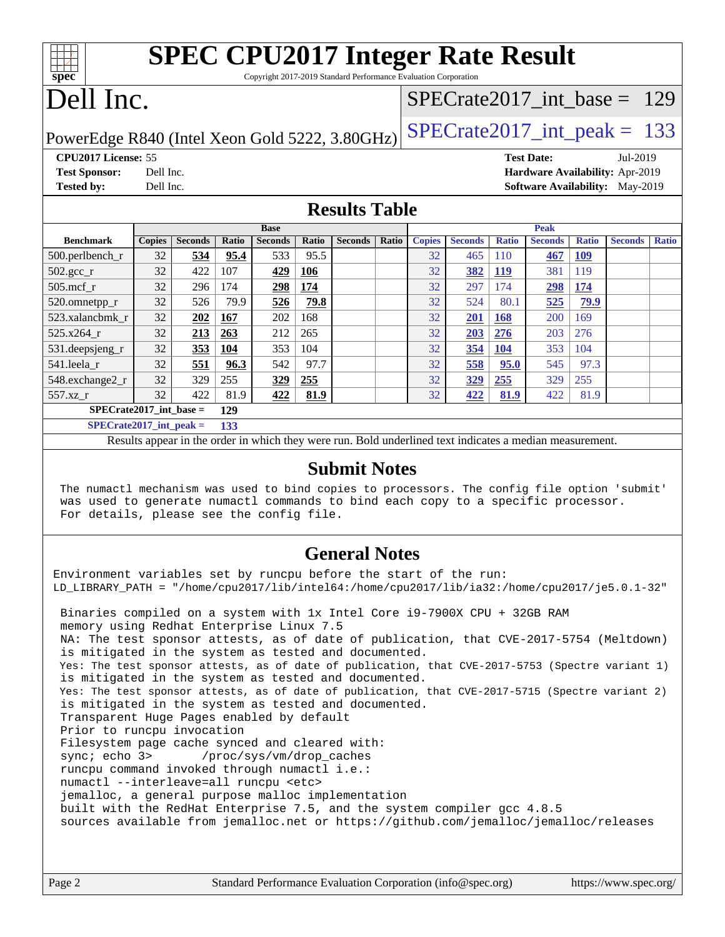| <b>SPEC CPU2017 Integer Rate Result</b>                         |  |
|-----------------------------------------------------------------|--|
| Copyright 2017-2019 Standard Performance Evaluation Corporation |  |
|                                                                 |  |

### Dell Inc.

**[spec](http://www.spec.org/)**

#### [SPECrate2017\\_int\\_base =](http://www.spec.org/auto/cpu2017/Docs/result-fields.html#SPECrate2017intbase) 129

PowerEdge R840 (Intel Xeon Gold 5222, 3.80GHz)  $\text{SPECrate2017\_int\_peak} = 133$ 

#### **[CPU2017 License:](http://www.spec.org/auto/cpu2017/Docs/result-fields.html#CPU2017License)** 55 **[Test Date:](http://www.spec.org/auto/cpu2017/Docs/result-fields.html#TestDate)** Jul-2019

**[Test Sponsor:](http://www.spec.org/auto/cpu2017/Docs/result-fields.html#TestSponsor)** Dell Inc. **[Hardware Availability:](http://www.spec.org/auto/cpu2017/Docs/result-fields.html#HardwareAvailability)** Apr-2019

**[Tested by:](http://www.spec.org/auto/cpu2017/Docs/result-fields.html#Testedby)** Dell Inc. **[Software Availability:](http://www.spec.org/auto/cpu2017/Docs/result-fields.html#SoftwareAvailability)** May-2019

### **[Results Table](http://www.spec.org/auto/cpu2017/Docs/result-fields.html#ResultsTable)**

|                            | <b>Base</b>                        |                |       |                | <b>Peak</b> |                |       |               |                |              |                |              |                |              |
|----------------------------|------------------------------------|----------------|-------|----------------|-------------|----------------|-------|---------------|----------------|--------------|----------------|--------------|----------------|--------------|
| <b>Benchmark</b>           | <b>Copies</b>                      | <b>Seconds</b> | Ratio | <b>Seconds</b> | Ratio       | <b>Seconds</b> | Ratio | <b>Copies</b> | <b>Seconds</b> | <b>Ratio</b> | <b>Seconds</b> | <b>Ratio</b> | <b>Seconds</b> | <b>Ratio</b> |
| $500.$ perlbench_r         | 32                                 | 534            | 95.4  | 533            | 95.5        |                |       | 32            | 465            | 110          | 467            | <u> 109</u>  |                |              |
| $502.\text{sec}\text{\_r}$ | 32                                 | 422            | 107   | 429            | 106         |                |       | 32            | 382            | <u>119</u>   | 381            | 119          |                |              |
| $505$ .mcf r               | 32                                 | 296            | 174   | 298            | 174         |                |       | 32            | 297            | 174          | 298            | 174          |                |              |
| 520.omnetpp_r              | 32                                 | 526            | 79.9  | 526            | 79.8        |                |       | 32            | 524            | 80.1         | 525            | <u>79.9</u>  |                |              |
| 523.xalancbmk r            | 32                                 | 202            | 167   | 202            | 168         |                |       | 32            | 201            | <b>168</b>   | 200            | 169          |                |              |
| 525.x264 r                 | 32                                 | 213            | 263   | 212            | 265         |                |       | 32            | 203            | 276          | 203            | 276          |                |              |
| 531.deepsjeng_r            | 32                                 | 353            | 104   | 353            | 104         |                |       | 32            | 354            | <b>104</b>   | 353            | 104          |                |              |
| 541.leela r                | 32                                 | 551            | 96.3  | 542            | 97.7        |                |       | 32            | 558            | 95.0         | 545            | 97.3         |                |              |
| 548.exchange2_r            | 32                                 | 329            | 255   | 329            | 255         |                |       | 32            | 329            | 255          | 329            | 255          |                |              |
| 557.xz r                   | 32                                 | 422            | 81.9  | 422            | 81.9        |                |       | 32            | 422            | 81.9         | 422            | 81.9         |                |              |
|                            | $SPECrate2017\_int\_base =$<br>129 |                |       |                |             |                |       |               |                |              |                |              |                |              |
| $SPFCrata2017$ int neak –  |                                    |                | 122   |                |             |                |       |               |                |              |                |              |                |              |

**[SPECrate2017\\_int\\_peak =](http://www.spec.org/auto/cpu2017/Docs/result-fields.html#SPECrate2017intpeak) 133**

Results appear in the [order in which they were run.](http://www.spec.org/auto/cpu2017/Docs/result-fields.html#RunOrder) Bold underlined text [indicates a median measurement.](http://www.spec.org/auto/cpu2017/Docs/result-fields.html#Median)

#### **[Submit Notes](http://www.spec.org/auto/cpu2017/Docs/result-fields.html#SubmitNotes)**

 The numactl mechanism was used to bind copies to processors. The config file option 'submit' was used to generate numactl commands to bind each copy to a specific processor. For details, please see the config file.

#### **[General Notes](http://www.spec.org/auto/cpu2017/Docs/result-fields.html#GeneralNotes)**

Environment variables set by runcpu before the start of the run: LD\_LIBRARY\_PATH = "/home/cpu2017/lib/intel64:/home/cpu2017/lib/ia32:/home/cpu2017/je5.0.1-32" Binaries compiled on a system with 1x Intel Core i9-7900X CPU + 32GB RAM memory using Redhat Enterprise Linux 7.5 NA: The test sponsor attests, as of date of publication, that CVE-2017-5754 (Meltdown) is mitigated in the system as tested and documented. Yes: The test sponsor attests, as of date of publication, that CVE-2017-5753 (Spectre variant 1) is mitigated in the system as tested and documented. Yes: The test sponsor attests, as of date of publication, that CVE-2017-5715 (Spectre variant 2) is mitigated in the system as tested and documented. Transparent Huge Pages enabled by default Prior to runcpu invocation Filesystem page cache synced and cleared with: sync; echo 3> /proc/sys/vm/drop\_caches runcpu command invoked through numactl i.e.: numactl --interleave=all runcpu <etc> jemalloc, a general purpose malloc implementation built with the RedHat Enterprise 7.5, and the system compiler gcc 4.8.5

sources available from jemalloc.net or <https://github.com/jemalloc/jemalloc/releases>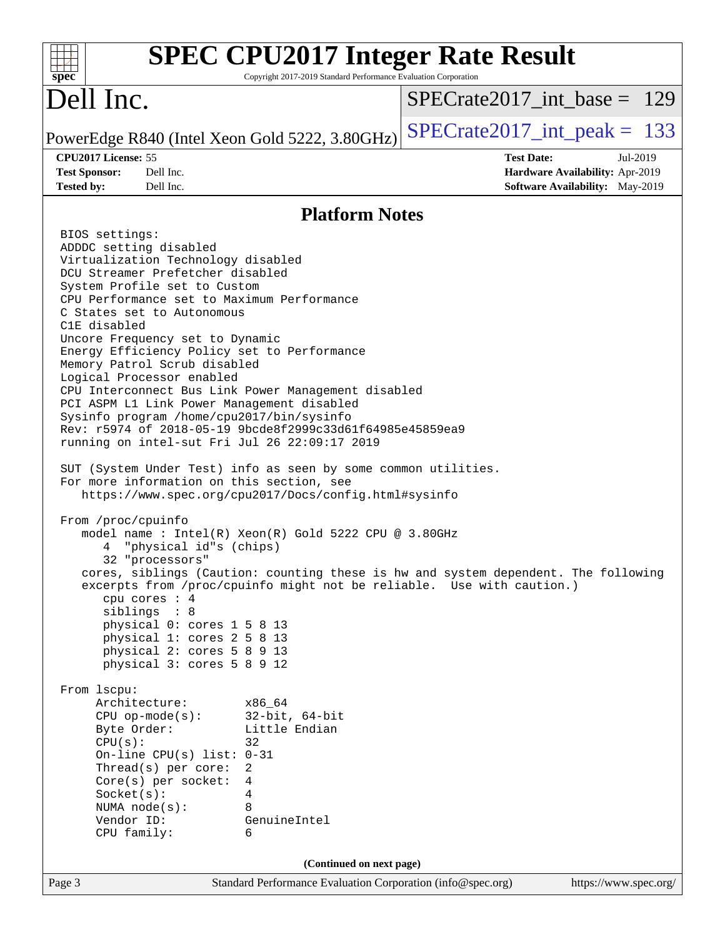| $spec^*$                                                                                                                                                                                                                                                                                                                                                                                                                                                                                                                                                                                                                                                                                                                                                                                                                                                                                                                                                                                                                                                                                                                                                                                                                                                                                                                                                                                                                                                                                                                                 | <b>SPEC CPU2017 Integer Rate Result</b><br>Copyright 2017-2019 Standard Performance Evaluation Corporation     |
|------------------------------------------------------------------------------------------------------------------------------------------------------------------------------------------------------------------------------------------------------------------------------------------------------------------------------------------------------------------------------------------------------------------------------------------------------------------------------------------------------------------------------------------------------------------------------------------------------------------------------------------------------------------------------------------------------------------------------------------------------------------------------------------------------------------------------------------------------------------------------------------------------------------------------------------------------------------------------------------------------------------------------------------------------------------------------------------------------------------------------------------------------------------------------------------------------------------------------------------------------------------------------------------------------------------------------------------------------------------------------------------------------------------------------------------------------------------------------------------------------------------------------------------|----------------------------------------------------------------------------------------------------------------|
| Dell Inc.                                                                                                                                                                                                                                                                                                                                                                                                                                                                                                                                                                                                                                                                                                                                                                                                                                                                                                                                                                                                                                                                                                                                                                                                                                                                                                                                                                                                                                                                                                                                | $SPECrate2017$ int base = 129                                                                                  |
| PowerEdge R840 (Intel Xeon Gold 5222, 3.80GHz)                                                                                                                                                                                                                                                                                                                                                                                                                                                                                                                                                                                                                                                                                                                                                                                                                                                                                                                                                                                                                                                                                                                                                                                                                                                                                                                                                                                                                                                                                           | $SPECrate2017\_int\_peak = 133$                                                                                |
| CPU2017 License: 55                                                                                                                                                                                                                                                                                                                                                                                                                                                                                                                                                                                                                                                                                                                                                                                                                                                                                                                                                                                                                                                                                                                                                                                                                                                                                                                                                                                                                                                                                                                      | <b>Test Date:</b><br>Jul-2019                                                                                  |
| <b>Test Sponsor:</b><br>Dell Inc.<br>Dell Inc.                                                                                                                                                                                                                                                                                                                                                                                                                                                                                                                                                                                                                                                                                                                                                                                                                                                                                                                                                                                                                                                                                                                                                                                                                                                                                                                                                                                                                                                                                           | Hardware Availability: Apr-2019<br>Software Availability: May-2019                                             |
| <b>Tested by:</b>                                                                                                                                                                                                                                                                                                                                                                                                                                                                                                                                                                                                                                                                                                                                                                                                                                                                                                                                                                                                                                                                                                                                                                                                                                                                                                                                                                                                                                                                                                                        |                                                                                                                |
|                                                                                                                                                                                                                                                                                                                                                                                                                                                                                                                                                                                                                                                                                                                                                                                                                                                                                                                                                                                                                                                                                                                                                                                                                                                                                                                                                                                                                                                                                                                                          | <b>Platform Notes</b>                                                                                          |
| BIOS settings:<br>ADDDC setting disabled<br>Virtualization Technology disabled<br>DCU Streamer Prefetcher disabled<br>System Profile set to Custom<br>CPU Performance set to Maximum Performance<br>C States set to Autonomous<br>C1E disabled<br>Uncore Frequency set to Dynamic<br>Energy Efficiency Policy set to Performance<br>Memory Patrol Scrub disabled<br>Logical Processor enabled<br>CPU Interconnect Bus Link Power Management disabled<br>PCI ASPM L1 Link Power Management disabled<br>Sysinfo program /home/cpu2017/bin/sysinfo<br>Rev: r5974 of 2018-05-19 9bcde8f2999c33d61f64985e45859ea9<br>running on intel-sut Fri Jul 26 22:09:17 2019<br>SUT (System Under Test) info as seen by some common utilities.<br>For more information on this section, see<br>https://www.spec.org/cpu2017/Docs/config.html#sysinfo<br>From /proc/cpuinfo<br>model name : Intel(R) Xeon(R) Gold 5222 CPU @ 3.80GHz<br>"physical id"s (chips)<br>4<br>32 "processors"<br>excerpts from /proc/cpuinfo might not be reliable. Use with caution.)<br>cpu cores : 4<br>siblings : 8<br>physical 0: cores 1 5 8 13<br>physical 1: cores 2 5 8 13<br>physical 2: cores 5 8 9 13<br>physical 3: cores 5 8 9 12<br>From lscpu:<br>Architecture:<br>x86 64<br>$32$ -bit, $64$ -bit<br>$CPU$ op-mode( $s$ ):<br>Byte Order:<br>Little Endian<br>CPU(s):<br>32<br>On-line CPU(s) list: $0-31$<br>Thread(s) per core:<br>2<br>Core(s) per socket:<br>4<br>Socket(s):<br>4<br>NUMA $node(s):$<br>8<br>Vendor ID:<br>GenuineIntel<br>CPU family:<br>6 | cores, siblings (Caution: counting these is hw and system dependent. The following<br>(Continued on next page) |
| Page 3                                                                                                                                                                                                                                                                                                                                                                                                                                                                                                                                                                                                                                                                                                                                                                                                                                                                                                                                                                                                                                                                                                                                                                                                                                                                                                                                                                                                                                                                                                                                   | Standard Performance Evaluation Corporation (info@spec.org)<br>https://www.spec.org/                           |
|                                                                                                                                                                                                                                                                                                                                                                                                                                                                                                                                                                                                                                                                                                                                                                                                                                                                                                                                                                                                                                                                                                                                                                                                                                                                                                                                                                                                                                                                                                                                          |                                                                                                                |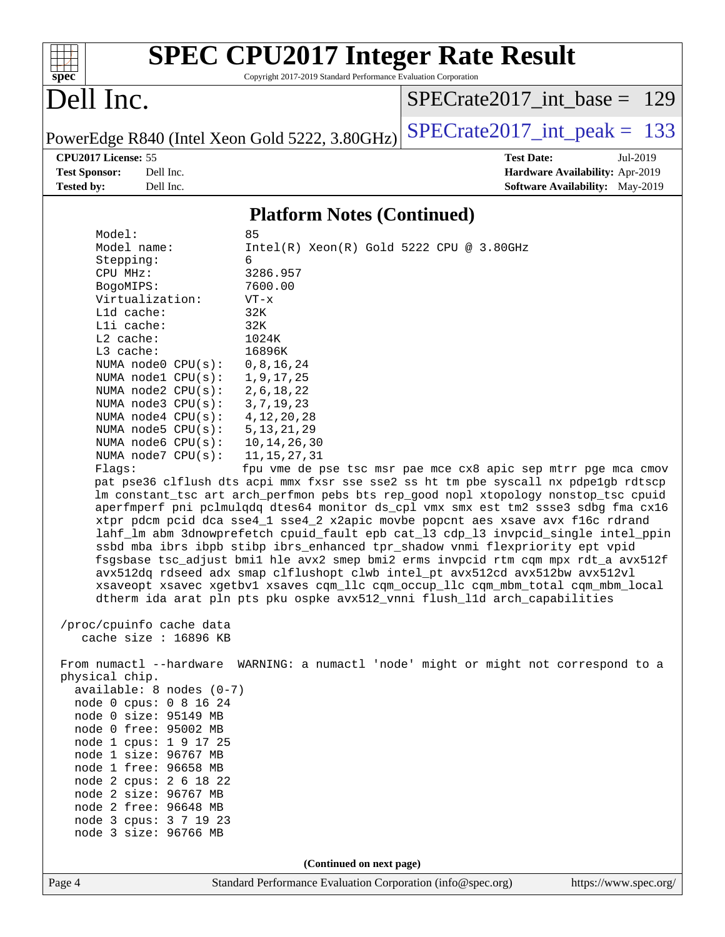| SI<br>эe<br>I<br>Ľ |  |  |  |  |  |
|--------------------|--|--|--|--|--|

# **[SPEC CPU2017 Integer Rate Result](http://www.spec.org/auto/cpu2017/Docs/result-fields.html#SPECCPU2017IntegerRateResult)**

Copyright 2017-2019 Standard Performance Evaluation Corporation

# Dell Inc.

[SPECrate2017\\_int\\_base =](http://www.spec.org/auto/cpu2017/Docs/result-fields.html#SPECrate2017intbase) 129

PowerEdge R840 (Intel Xeon Gold 5222, 3.80GHz)  $SPECrate2017\_int\_peak = 133$ 

**[Tested by:](http://www.spec.org/auto/cpu2017/Docs/result-fields.html#Testedby)** Dell Inc. Dell Inc. **[Software Availability:](http://www.spec.org/auto/cpu2017/Docs/result-fields.html#SoftwareAvailability)** May-2019

**[CPU2017 License:](http://www.spec.org/auto/cpu2017/Docs/result-fields.html#CPU2017License)** 55 **[Test Date:](http://www.spec.org/auto/cpu2017/Docs/result-fields.html#TestDate)** Jul-2019 **[Test Sponsor:](http://www.spec.org/auto/cpu2017/Docs/result-fields.html#TestSponsor)** Dell Inc. **[Hardware Availability:](http://www.spec.org/auto/cpu2017/Docs/result-fields.html#HardwareAvailability)** Apr-2019

#### **[Platform Notes \(Continued\)](http://www.spec.org/auto/cpu2017/Docs/result-fields.html#PlatformNotes)**

| Model:                                       | 85                                                                                   |
|----------------------------------------------|--------------------------------------------------------------------------------------|
| Model name:                                  | $Intel(R) Xeon(R) Gold 5222 CPU @ 3.80GHz$                                           |
| Stepping:                                    | 6                                                                                    |
| CPU MHz:                                     | 3286.957                                                                             |
| BogoMIPS:                                    | 7600.00                                                                              |
| Virtualization:                              | $VT - x$                                                                             |
| L1d cache:                                   | 32K                                                                                  |
| Lli cache:                                   | 32K                                                                                  |
| L2 cache:                                    | 1024K                                                                                |
| L3 cache:                                    | 16896K                                                                               |
| NUMA node0 CPU(s):                           | 0, 8, 16, 24                                                                         |
| NUMA nodel $CPU(s):$                         | 1, 9, 17, 25                                                                         |
| NUMA $node2$ $CPU(s):$                       | 2, 6, 18, 22                                                                         |
| NUMA node3 CPU(s):                           | 3, 7, 19, 23                                                                         |
| NUMA $node4$ $CPU(s):$                       | 4, 12, 20, 28                                                                        |
| NUMA $node5$ $CPU(s):$                       | 5, 13, 21, 29                                                                        |
| NUMA $node6$ $CPU(s):$                       | 10, 14, 26, 30                                                                       |
| NUMA $node7$ CPU $(s)$ :                     | 11, 15, 27, 31                                                                       |
| Flags:                                       | fpu vme de pse tsc msr pae mce cx8 apic sep mtrr pge mca cmov                        |
|                                              | pat pse36 clflush dts acpi mmx fxsr sse sse2 ss ht tm pbe syscall nx pdpe1gb rdtscp  |
|                                              | lm constant_tsc art arch_perfmon pebs bts rep_good nopl xtopology nonstop_tsc cpuid  |
|                                              | aperfmperf pni pclmulqdq dtes64 monitor ds_cpl vmx smx est tm2 ssse3 sdbg fma cx16   |
|                                              | xtpr pdcm pcid dca sse4_1 sse4_2 x2apic movbe popcnt aes xsave avx f16c rdrand       |
|                                              | lahf_lm abm 3dnowprefetch cpuid_fault epb cat_13 cdp_13 invpcid_single intel_ppin    |
|                                              | ssbd mba ibrs ibpb stibp ibrs_enhanced tpr_shadow vnmi flexpriority ept vpid         |
|                                              | fsgsbase tsc adjust bmil hle avx2 smep bmi2 erms invpcid rtm cgm mpx rdt a avx512f   |
|                                              | avx512dq rdseed adx smap clflushopt clwb intel_pt avx512cd avx512bw avx512vl         |
|                                              | xsaveopt xsavec xgetbvl xsaves cqm_llc cqm_occup_llc cqm_mbm_total cqm_mbm_local     |
|                                              | dtherm ida arat pln pts pku ospke avx512_vnni flush_lld arch_capabilities            |
|                                              |                                                                                      |
| /proc/cpuinfo cache data                     |                                                                                      |
| cache size : 16896 KB                        |                                                                                      |
|                                              |                                                                                      |
|                                              | From numactl --hardware WARNING: a numactl 'node' might or might not correspond to a |
| physical chip.<br>$available: 8 nodes (0-7)$ |                                                                                      |
| node 0 cpus: 0 8 16 24                       |                                                                                      |
| node 0 size: 95149 MB                        |                                                                                      |
| node 0 free: 95002 MB                        |                                                                                      |
| node 1 cpus: 1 9 17 25                       |                                                                                      |
| node 1 size: 96767 MB                        |                                                                                      |
| node 1 free: 96658 MB                        |                                                                                      |
| node 2 cpus: 2 6 18 22                       |                                                                                      |
| node 2 size: 96767 MB                        |                                                                                      |
| node 2 free: 96648 MB                        |                                                                                      |
| node 3 cpus: 3 7 19 23                       |                                                                                      |
| node 3 size: 96766 MB                        |                                                                                      |
|                                              |                                                                                      |
|                                              |                                                                                      |
|                                              | (Continued on next page)                                                             |
| Page 4                                       | Standard Performance Evaluation Corporation (info@spec.org)<br>https://www.spec.org/ |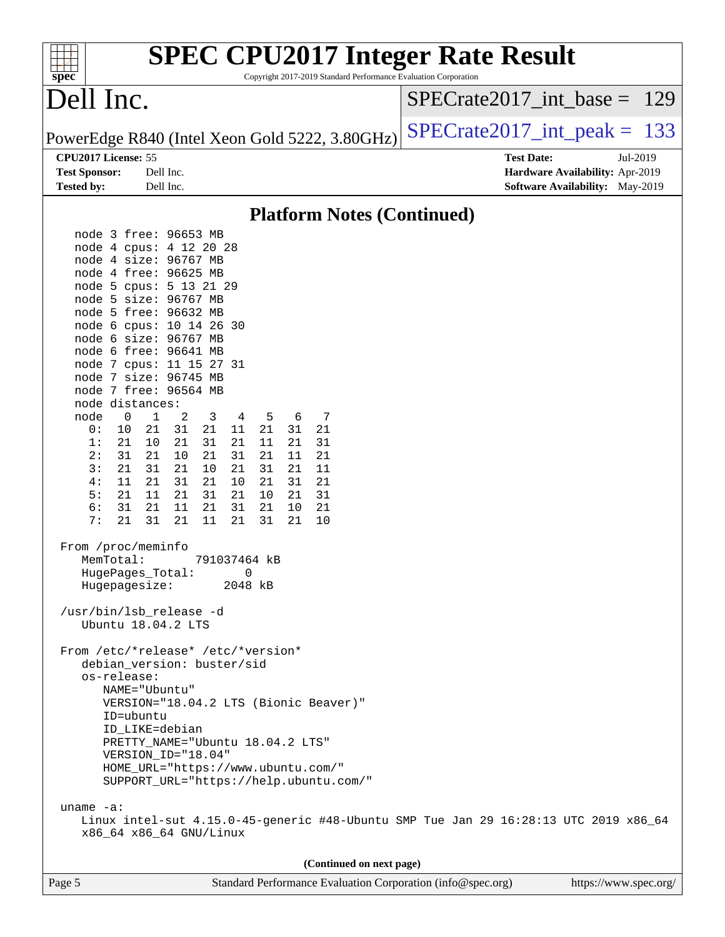| <b>SPEC CPU2017 Integer Rate Result</b><br>Copyright 2017-2019 Standard Performance Evaluation Corporation<br>spec <sup>®</sup>                                                                                                                                                                                                                                                                                                                                                                                                                                                                                                                                                                                                                                                                                                                                                                                                                                                                                                                                                                                                                                                                                                                                                                                                                                                                                                                                                                      |                                                                                                            |
|------------------------------------------------------------------------------------------------------------------------------------------------------------------------------------------------------------------------------------------------------------------------------------------------------------------------------------------------------------------------------------------------------------------------------------------------------------------------------------------------------------------------------------------------------------------------------------------------------------------------------------------------------------------------------------------------------------------------------------------------------------------------------------------------------------------------------------------------------------------------------------------------------------------------------------------------------------------------------------------------------------------------------------------------------------------------------------------------------------------------------------------------------------------------------------------------------------------------------------------------------------------------------------------------------------------------------------------------------------------------------------------------------------------------------------------------------------------------------------------------------|------------------------------------------------------------------------------------------------------------|
| Dell Inc.                                                                                                                                                                                                                                                                                                                                                                                                                                                                                                                                                                                                                                                                                                                                                                                                                                                                                                                                                                                                                                                                                                                                                                                                                                                                                                                                                                                                                                                                                            | $SPECrate2017\_int\_base = 129$                                                                            |
| PowerEdge R840 (Intel Xeon Gold 5222, 3.80GHz)                                                                                                                                                                                                                                                                                                                                                                                                                                                                                                                                                                                                                                                                                                                                                                                                                                                                                                                                                                                                                                                                                                                                                                                                                                                                                                                                                                                                                                                       | $SPECrate2017\_int\_peak = 133$                                                                            |
| CPU2017 License: 55<br><b>Test Sponsor:</b><br>Dell Inc.<br><b>Tested by:</b><br>Dell Inc.                                                                                                                                                                                                                                                                                                                                                                                                                                                                                                                                                                                                                                                                                                                                                                                                                                                                                                                                                                                                                                                                                                                                                                                                                                                                                                                                                                                                           | <b>Test Date:</b><br>Jul-2019<br>Hardware Availability: Apr-2019<br><b>Software Availability:</b> May-2019 |
| <b>Platform Notes (Continued)</b>                                                                                                                                                                                                                                                                                                                                                                                                                                                                                                                                                                                                                                                                                                                                                                                                                                                                                                                                                                                                                                                                                                                                                                                                                                                                                                                                                                                                                                                                    |                                                                                                            |
| node 3 free: 96653 MB<br>node 4 cpus: 4 12 20 28<br>node 4 size: 96767 MB<br>node 4 free: 96625 MB<br>node 5 cpus: 5 13 21 29<br>node 5 size: 96767 MB<br>node 5 free: 96632 MB<br>node 6 cpus: 10 14 26 30<br>node 6 size: 96767 MB<br>node 6 free: 96641 MB<br>node 7 cpus: 11 15 27 31<br>node 7 size: 96745 MB<br>node 7 free: 96564 MB<br>node distances:<br>$\overline{0}$<br>$\mathbf{1}$<br>node<br>2<br>3<br>4<br>5<br>7<br>-6<br>21<br>31<br>21<br>11<br>21<br>31<br>21<br>0:<br>10<br>1:<br>21<br>21<br>31<br>21<br>11<br>21<br>10<br>31<br>2:<br>31<br>21<br>10<br>21<br>31<br>21<br>11<br>21<br>3:<br>21<br>31<br>21<br>31<br>10<br>21<br>21<br>11<br>4:<br>11<br>21<br>31<br>21<br>10<br>21<br>31<br>21<br>5:<br>21<br>11<br>31<br>21<br>21<br>31<br>21<br>10<br>6:<br>21<br>31<br>21<br>11<br>21<br>31<br>10<br>21<br>7:<br>21<br>31<br>21<br>11<br>21<br>31<br>21<br>10<br>From /proc/meminfo<br>MemTotal:<br>791037464 kB<br>HugePages_Total:<br>Hugepagesize:<br>2048 kB<br>/usr/bin/lsb_release -d<br>Ubuntu 18.04.2 LTS<br>From /etc/*release* /etc/*version*<br>debian version: buster/sid<br>os-release:<br>NAME="Ubuntu"<br>VERSION="18.04.2 LTS (Bionic Beaver)"<br>ID=ubuntu<br>ID_LIKE=debian<br>PRETTY_NAME="Ubuntu 18.04.2 LTS"<br>VERSION_ID="18.04"<br>HOME_URL="https://www.ubuntu.com/"<br>SUPPORT_URL="https://help.ubuntu.com/"<br>uname $-a$ :<br>Linux intel-sut 4.15.0-45-generic #48-Ubuntu SMP Tue Jan 29 16:28:13 UTC 2019 x86_64<br>x86_64 x86_64 GNU/Linux |                                                                                                            |
| (Continued on next page)                                                                                                                                                                                                                                                                                                                                                                                                                                                                                                                                                                                                                                                                                                                                                                                                                                                                                                                                                                                                                                                                                                                                                                                                                                                                                                                                                                                                                                                                             |                                                                                                            |
| Standard Performance Evaluation Corporation (info@spec.org)<br>Page 5                                                                                                                                                                                                                                                                                                                                                                                                                                                                                                                                                                                                                                                                                                                                                                                                                                                                                                                                                                                                                                                                                                                                                                                                                                                                                                                                                                                                                                | https://www.spec.org/                                                                                      |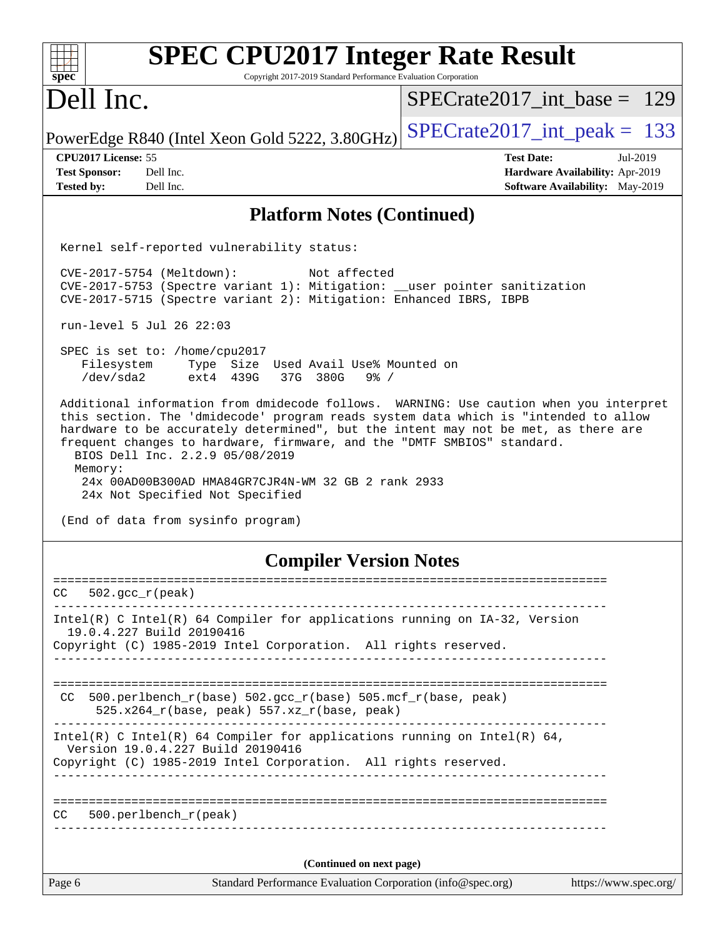| <b>SPEC CPU2017 Integer Rate Result</b><br>spec<br>Copyright 2017-2019 Standard Performance Evaluation Corporation                                                                                                                                                                                                                                                                                                                                                                     |                                        |  |  |  |  |  |
|----------------------------------------------------------------------------------------------------------------------------------------------------------------------------------------------------------------------------------------------------------------------------------------------------------------------------------------------------------------------------------------------------------------------------------------------------------------------------------------|----------------------------------------|--|--|--|--|--|
| Dell Inc.                                                                                                                                                                                                                                                                                                                                                                                                                                                                              | $SPECrate2017$ int base = 129          |  |  |  |  |  |
| PowerEdge R840 (Intel Xeon Gold 5222, 3.80GHz)                                                                                                                                                                                                                                                                                                                                                                                                                                         | $SPECTate2017\_int\_peak = 133$        |  |  |  |  |  |
| CPU2017 License: 55                                                                                                                                                                                                                                                                                                                                                                                                                                                                    | <b>Test Date:</b><br>Jul-2019          |  |  |  |  |  |
| <b>Test Sponsor:</b><br>Dell Inc.                                                                                                                                                                                                                                                                                                                                                                                                                                                      | Hardware Availability: Apr-2019        |  |  |  |  |  |
| Dell Inc.<br><b>Tested by:</b>                                                                                                                                                                                                                                                                                                                                                                                                                                                         | <b>Software Availability:</b> May-2019 |  |  |  |  |  |
| <b>Platform Notes (Continued)</b>                                                                                                                                                                                                                                                                                                                                                                                                                                                      |                                        |  |  |  |  |  |
| Kernel self-reported vulnerability status:                                                                                                                                                                                                                                                                                                                                                                                                                                             |                                        |  |  |  |  |  |
| CVE-2017-5754 (Meltdown):<br>Not affected<br>CVE-2017-5753 (Spectre variant 1): Mitigation: __user pointer sanitization<br>CVE-2017-5715 (Spectre variant 2): Mitigation: Enhanced IBRS, IBPB                                                                                                                                                                                                                                                                                          |                                        |  |  |  |  |  |
| run-level 5 Jul 26 22:03                                                                                                                                                                                                                                                                                                                                                                                                                                                               |                                        |  |  |  |  |  |
| SPEC is set to: /home/cpu2017<br>Filesystem<br>Type Size Used Avail Use% Mounted on<br>/dev/sda2<br>ext4 439G<br>37G 380G<br>$9\frac{6}{9}$ /                                                                                                                                                                                                                                                                                                                                          |                                        |  |  |  |  |  |
| Additional information from dmidecode follows. WARNING: Use caution when you interpret<br>this section. The 'dmidecode' program reads system data which is "intended to allow<br>hardware to be accurately determined", but the intent may not be met, as there are<br>frequent changes to hardware, firmware, and the "DMTF SMBIOS" standard.<br>BIOS Dell Inc. 2.2.9 05/08/2019<br>Memory:<br>24x 00AD00B300AD HMA84GR7CJR4N-WM 32 GB 2 rank 2933<br>24x Not Specified Not Specified |                                        |  |  |  |  |  |
| (End of data from sysinfo program)                                                                                                                                                                                                                                                                                                                                                                                                                                                     |                                        |  |  |  |  |  |
| <b>Compiler Version Notes</b>                                                                                                                                                                                                                                                                                                                                                                                                                                                          |                                        |  |  |  |  |  |
| CC.<br>$502.\text{gcc\_r}(\text{peak})$                                                                                                                                                                                                                                                                                                                                                                                                                                                |                                        |  |  |  |  |  |
| Intel(R) C Intel(R) 64 Compiler for applications running on IA-32, Version                                                                                                                                                                                                                                                                                                                                                                                                             |                                        |  |  |  |  |  |
| 19.0.4.227 Build 20190416                                                                                                                                                                                                                                                                                                                                                                                                                                                              |                                        |  |  |  |  |  |
| Copyright (C) 1985-2019 Intel Corporation. All rights reserved.                                                                                                                                                                                                                                                                                                                                                                                                                        |                                        |  |  |  |  |  |
|                                                                                                                                                                                                                                                                                                                                                                                                                                                                                        |                                        |  |  |  |  |  |
| 500.perlbench_r(base) 502.gcc_r(base) 505.mcf_r(base, peak)<br>CC.<br>525.x264_r(base, peak) 557.xz_r(base, peak)                                                                                                                                                                                                                                                                                                                                                                      |                                        |  |  |  |  |  |
| $Intel(R)$ C Intel(R) 64 Compiler for applications running on Intel(R) 64,<br>Version 19.0.4.227 Build 20190416                                                                                                                                                                                                                                                                                                                                                                        |                                        |  |  |  |  |  |
| Copyright (C) 1985-2019 Intel Corporation. All rights reserved.                                                                                                                                                                                                                                                                                                                                                                                                                        |                                        |  |  |  |  |  |
|                                                                                                                                                                                                                                                                                                                                                                                                                                                                                        |                                        |  |  |  |  |  |
|                                                                                                                                                                                                                                                                                                                                                                                                                                                                                        |                                        |  |  |  |  |  |
| $500.perlbench_r(peak)$<br>CC.                                                                                                                                                                                                                                                                                                                                                                                                                                                         |                                        |  |  |  |  |  |
|                                                                                                                                                                                                                                                                                                                                                                                                                                                                                        |                                        |  |  |  |  |  |
|                                                                                                                                                                                                                                                                                                                                                                                                                                                                                        |                                        |  |  |  |  |  |
| (Continued on next page)                                                                                                                                                                                                                                                                                                                                                                                                                                                               |                                        |  |  |  |  |  |
| Page 6<br>Standard Performance Evaluation Corporation (info@spec.org)                                                                                                                                                                                                                                                                                                                                                                                                                  | https://www.spec.org/                  |  |  |  |  |  |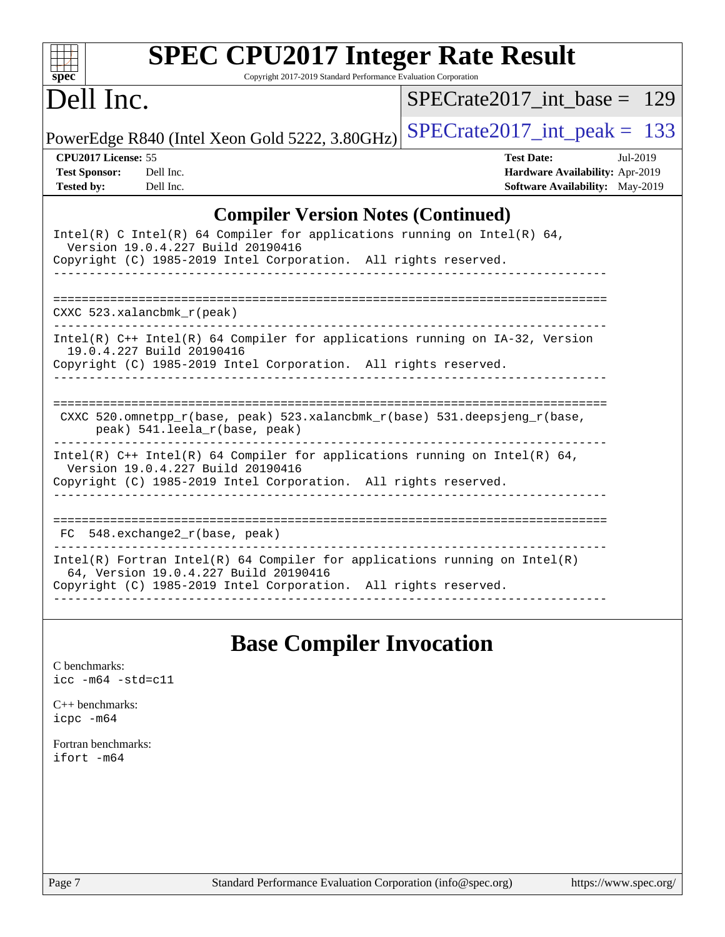| Spec                                      | <b>SPEC CPU2017 Integer Rate Result</b><br>Copyright 2017-2019 Standard Performance Evaluation Corporation                                                                           |                                 |                   |                                                                    |          |  |
|-------------------------------------------|--------------------------------------------------------------------------------------------------------------------------------------------------------------------------------------|---------------------------------|-------------------|--------------------------------------------------------------------|----------|--|
| Dell Inc.                                 |                                                                                                                                                                                      | $SPECrate2017$ int base = 129   |                   |                                                                    |          |  |
|                                           | PowerEdge R840 (Intel Xeon Gold 5222, 3.80GHz)                                                                                                                                       | $SPECrate2017\_int\_peak = 133$ |                   |                                                                    |          |  |
| CPU2017 License: 55                       |                                                                                                                                                                                      |                                 | <b>Test Date:</b> |                                                                    | Jul-2019 |  |
| <b>Test Sponsor:</b><br><b>Tested by:</b> | Dell Inc.<br>Dell Inc.                                                                                                                                                               |                                 |                   | Hardware Availability: Apr-2019<br>Software Availability: May-2019 |          |  |
|                                           | <b>Compiler Version Notes (Continued)</b>                                                                                                                                            |                                 |                   |                                                                    |          |  |
|                                           | Intel(R) C Intel(R) 64 Compiler for applications running on Intel(R) 64,<br>Version 19.0.4.227 Build 20190416<br>Copyright (C) 1985-2019 Intel Corporation. All rights reserved.     |                                 |                   |                                                                    |          |  |
|                                           | $CXXC$ 523.xalancbmk $r(\text{peak})$                                                                                                                                                |                                 |                   |                                                                    |          |  |
|                                           | Intel(R) C++ Intel(R) 64 Compiler for applications running on IA-32, Version<br>19.0.4.227 Build 20190416<br>Copyright (C) 1985-2019 Intel Corporation. All rights reserved.         |                                 |                   |                                                                    |          |  |
|                                           | CXXC 520.omnetpp_r(base, peak) 523.xalancbmk_r(base) 531.deepsjeng_r(base,<br>peak) 541.leela_r(base, peak)                                                                          |                                 |                   |                                                                    |          |  |
|                                           | Intel(R) $C++$ Intel(R) 64 Compiler for applications running on Intel(R) 64,<br>Version 19.0.4.227 Build 20190416<br>Copyright (C) 1985-2019 Intel Corporation. All rights reserved. |                                 |                   |                                                                    |          |  |
|                                           | $FC$ 548. exchange $2r(base, peak)$                                                                                                                                                  |                                 |                   |                                                                    |          |  |
|                                           | $Intel(R)$ Fortran Intel(R) 64 Compiler for applications running on Intel(R)<br>64, Version 19.0.4.227 Build 20190416                                                                |                                 |                   |                                                                    |          |  |

#### Copyright (C) 1985-2019 Intel Corporation. All rights reserved.

## **[Base Compiler Invocation](http://www.spec.org/auto/cpu2017/Docs/result-fields.html#BaseCompilerInvocation)**

------------------------------------------------------------------------------

[C benchmarks](http://www.spec.org/auto/cpu2017/Docs/result-fields.html#Cbenchmarks): [icc -m64 -std=c11](http://www.spec.org/cpu2017/results/res2019q3/cpu2017-20190805-16514.flags.html#user_CCbase_intel_icc_64bit_c11_33ee0cdaae7deeeab2a9725423ba97205ce30f63b9926c2519791662299b76a0318f32ddfffdc46587804de3178b4f9328c46fa7c2b0cd779d7a61945c91cd35)

[C++ benchmarks:](http://www.spec.org/auto/cpu2017/Docs/result-fields.html#CXXbenchmarks) [icpc -m64](http://www.spec.org/cpu2017/results/res2019q3/cpu2017-20190805-16514.flags.html#user_CXXbase_intel_icpc_64bit_4ecb2543ae3f1412ef961e0650ca070fec7b7afdcd6ed48761b84423119d1bf6bdf5cad15b44d48e7256388bc77273b966e5eb805aefd121eb22e9299b2ec9d9)

[Fortran benchmarks](http://www.spec.org/auto/cpu2017/Docs/result-fields.html#Fortranbenchmarks): [ifort -m64](http://www.spec.org/cpu2017/results/res2019q3/cpu2017-20190805-16514.flags.html#user_FCbase_intel_ifort_64bit_24f2bb282fbaeffd6157abe4f878425411749daecae9a33200eee2bee2fe76f3b89351d69a8130dd5949958ce389cf37ff59a95e7a40d588e8d3a57e0c3fd751)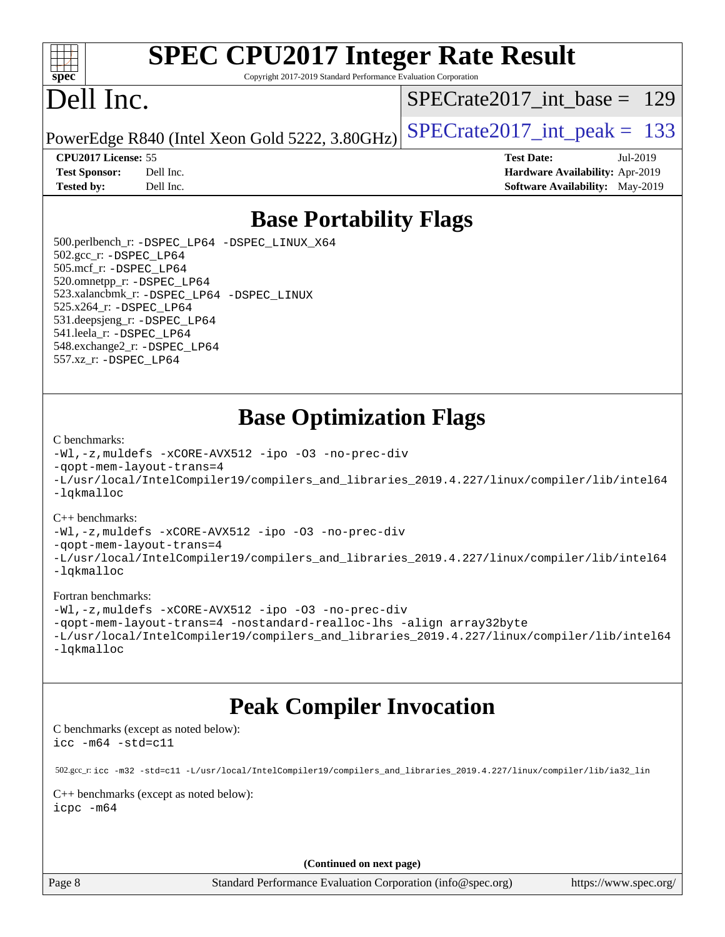

# **[SPEC CPU2017 Integer Rate Result](http://www.spec.org/auto/cpu2017/Docs/result-fields.html#SPECCPU2017IntegerRateResult)**

Copyright 2017-2019 Standard Performance Evaluation Corporation

# Dell Inc.

[SPECrate2017\\_int\\_base =](http://www.spec.org/auto/cpu2017/Docs/result-fields.html#SPECrate2017intbase) 129

PowerEdge R840 (Intel Xeon Gold 5222, 3.80GHz)  $\text{SPECrate}2017\_int\_peak = 133$ 

**[Tested by:](http://www.spec.org/auto/cpu2017/Docs/result-fields.html#Testedby)** Dell Inc. **[Software Availability:](http://www.spec.org/auto/cpu2017/Docs/result-fields.html#SoftwareAvailability)** May-2019

**[CPU2017 License:](http://www.spec.org/auto/cpu2017/Docs/result-fields.html#CPU2017License)** 55 **[Test Date:](http://www.spec.org/auto/cpu2017/Docs/result-fields.html#TestDate)** Jul-2019 **[Test Sponsor:](http://www.spec.org/auto/cpu2017/Docs/result-fields.html#TestSponsor)** Dell Inc. **[Hardware Availability:](http://www.spec.org/auto/cpu2017/Docs/result-fields.html#HardwareAvailability)** Apr-2019

### **[Base Portability Flags](http://www.spec.org/auto/cpu2017/Docs/result-fields.html#BasePortabilityFlags)**

 500.perlbench\_r: [-DSPEC\\_LP64](http://www.spec.org/cpu2017/results/res2019q3/cpu2017-20190805-16514.flags.html#b500.perlbench_r_basePORTABILITY_DSPEC_LP64) [-DSPEC\\_LINUX\\_X64](http://www.spec.org/cpu2017/results/res2019q3/cpu2017-20190805-16514.flags.html#b500.perlbench_r_baseCPORTABILITY_DSPEC_LINUX_X64) 502.gcc\_r: [-DSPEC\\_LP64](http://www.spec.org/cpu2017/results/res2019q3/cpu2017-20190805-16514.flags.html#suite_basePORTABILITY502_gcc_r_DSPEC_LP64) 505.mcf\_r: [-DSPEC\\_LP64](http://www.spec.org/cpu2017/results/res2019q3/cpu2017-20190805-16514.flags.html#suite_basePORTABILITY505_mcf_r_DSPEC_LP64) 520.omnetpp\_r: [-DSPEC\\_LP64](http://www.spec.org/cpu2017/results/res2019q3/cpu2017-20190805-16514.flags.html#suite_basePORTABILITY520_omnetpp_r_DSPEC_LP64) 523.xalancbmk\_r: [-DSPEC\\_LP64](http://www.spec.org/cpu2017/results/res2019q3/cpu2017-20190805-16514.flags.html#suite_basePORTABILITY523_xalancbmk_r_DSPEC_LP64) [-DSPEC\\_LINUX](http://www.spec.org/cpu2017/results/res2019q3/cpu2017-20190805-16514.flags.html#b523.xalancbmk_r_baseCXXPORTABILITY_DSPEC_LINUX) 525.x264\_r: [-DSPEC\\_LP64](http://www.spec.org/cpu2017/results/res2019q3/cpu2017-20190805-16514.flags.html#suite_basePORTABILITY525_x264_r_DSPEC_LP64) 531.deepsjeng\_r: [-DSPEC\\_LP64](http://www.spec.org/cpu2017/results/res2019q3/cpu2017-20190805-16514.flags.html#suite_basePORTABILITY531_deepsjeng_r_DSPEC_LP64) 541.leela\_r: [-DSPEC\\_LP64](http://www.spec.org/cpu2017/results/res2019q3/cpu2017-20190805-16514.flags.html#suite_basePORTABILITY541_leela_r_DSPEC_LP64) 548.exchange2\_r: [-DSPEC\\_LP64](http://www.spec.org/cpu2017/results/res2019q3/cpu2017-20190805-16514.flags.html#suite_basePORTABILITY548_exchange2_r_DSPEC_LP64) 557.xz\_r: [-DSPEC\\_LP64](http://www.spec.org/cpu2017/results/res2019q3/cpu2017-20190805-16514.flags.html#suite_basePORTABILITY557_xz_r_DSPEC_LP64)

### **[Base Optimization Flags](http://www.spec.org/auto/cpu2017/Docs/result-fields.html#BaseOptimizationFlags)**

#### [C benchmarks](http://www.spec.org/auto/cpu2017/Docs/result-fields.html#Cbenchmarks):

[-Wl,-z,muldefs](http://www.spec.org/cpu2017/results/res2019q3/cpu2017-20190805-16514.flags.html#user_CCbase_link_force_multiple1_b4cbdb97b34bdee9ceefcfe54f4c8ea74255f0b02a4b23e853cdb0e18eb4525ac79b5a88067c842dd0ee6996c24547a27a4b99331201badda8798ef8a743f577) [-xCORE-AVX512](http://www.spec.org/cpu2017/results/res2019q3/cpu2017-20190805-16514.flags.html#user_CCbase_f-xCORE-AVX512) [-ipo](http://www.spec.org/cpu2017/results/res2019q3/cpu2017-20190805-16514.flags.html#user_CCbase_f-ipo) [-O3](http://www.spec.org/cpu2017/results/res2019q3/cpu2017-20190805-16514.flags.html#user_CCbase_f-O3) [-no-prec-div](http://www.spec.org/cpu2017/results/res2019q3/cpu2017-20190805-16514.flags.html#user_CCbase_f-no-prec-div) [-qopt-mem-layout-trans=4](http://www.spec.org/cpu2017/results/res2019q3/cpu2017-20190805-16514.flags.html#user_CCbase_f-qopt-mem-layout-trans_fa39e755916c150a61361b7846f310bcdf6f04e385ef281cadf3647acec3f0ae266d1a1d22d972a7087a248fd4e6ca390a3634700869573d231a252c784941a8) [-L/usr/local/IntelCompiler19/compilers\\_and\\_libraries\\_2019.4.227/linux/compiler/lib/intel64](http://www.spec.org/cpu2017/results/res2019q3/cpu2017-20190805-16514.flags.html#user_CCbase_qkmalloc_link_0ffe0cb02c68ef1b443a077c7888c10c67ca0d1dd7138472156f06a085bbad385f78d49618ad55dca9db3b1608e84afc2f69b4003b1d1ca498a9fc1462ccefda) [-lqkmalloc](http://www.spec.org/cpu2017/results/res2019q3/cpu2017-20190805-16514.flags.html#user_CCbase_qkmalloc_link_lib_79a818439969f771c6bc311cfd333c00fc099dad35c030f5aab9dda831713d2015205805422f83de8875488a2991c0a156aaa600e1f9138f8fc37004abc96dc5)

#### [C++ benchmarks](http://www.spec.org/auto/cpu2017/Docs/result-fields.html#CXXbenchmarks):

[-Wl,-z,muldefs](http://www.spec.org/cpu2017/results/res2019q3/cpu2017-20190805-16514.flags.html#user_CXXbase_link_force_multiple1_b4cbdb97b34bdee9ceefcfe54f4c8ea74255f0b02a4b23e853cdb0e18eb4525ac79b5a88067c842dd0ee6996c24547a27a4b99331201badda8798ef8a743f577) [-xCORE-AVX512](http://www.spec.org/cpu2017/results/res2019q3/cpu2017-20190805-16514.flags.html#user_CXXbase_f-xCORE-AVX512) [-ipo](http://www.spec.org/cpu2017/results/res2019q3/cpu2017-20190805-16514.flags.html#user_CXXbase_f-ipo) [-O3](http://www.spec.org/cpu2017/results/res2019q3/cpu2017-20190805-16514.flags.html#user_CXXbase_f-O3) [-no-prec-div](http://www.spec.org/cpu2017/results/res2019q3/cpu2017-20190805-16514.flags.html#user_CXXbase_f-no-prec-div)

[-qopt-mem-layout-trans=4](http://www.spec.org/cpu2017/results/res2019q3/cpu2017-20190805-16514.flags.html#user_CXXbase_f-qopt-mem-layout-trans_fa39e755916c150a61361b7846f310bcdf6f04e385ef281cadf3647acec3f0ae266d1a1d22d972a7087a248fd4e6ca390a3634700869573d231a252c784941a8)

[-L/usr/local/IntelCompiler19/compilers\\_and\\_libraries\\_2019.4.227/linux/compiler/lib/intel64](http://www.spec.org/cpu2017/results/res2019q3/cpu2017-20190805-16514.flags.html#user_CXXbase_qkmalloc_link_0ffe0cb02c68ef1b443a077c7888c10c67ca0d1dd7138472156f06a085bbad385f78d49618ad55dca9db3b1608e84afc2f69b4003b1d1ca498a9fc1462ccefda) [-lqkmalloc](http://www.spec.org/cpu2017/results/res2019q3/cpu2017-20190805-16514.flags.html#user_CXXbase_qkmalloc_link_lib_79a818439969f771c6bc311cfd333c00fc099dad35c030f5aab9dda831713d2015205805422f83de8875488a2991c0a156aaa600e1f9138f8fc37004abc96dc5)

#### [Fortran benchmarks](http://www.spec.org/auto/cpu2017/Docs/result-fields.html#Fortranbenchmarks):

[-Wl,-z,muldefs](http://www.spec.org/cpu2017/results/res2019q3/cpu2017-20190805-16514.flags.html#user_FCbase_link_force_multiple1_b4cbdb97b34bdee9ceefcfe54f4c8ea74255f0b02a4b23e853cdb0e18eb4525ac79b5a88067c842dd0ee6996c24547a27a4b99331201badda8798ef8a743f577) [-xCORE-AVX512](http://www.spec.org/cpu2017/results/res2019q3/cpu2017-20190805-16514.flags.html#user_FCbase_f-xCORE-AVX512) [-ipo](http://www.spec.org/cpu2017/results/res2019q3/cpu2017-20190805-16514.flags.html#user_FCbase_f-ipo) [-O3](http://www.spec.org/cpu2017/results/res2019q3/cpu2017-20190805-16514.flags.html#user_FCbase_f-O3) [-no-prec-div](http://www.spec.org/cpu2017/results/res2019q3/cpu2017-20190805-16514.flags.html#user_FCbase_f-no-prec-div) [-qopt-mem-layout-trans=4](http://www.spec.org/cpu2017/results/res2019q3/cpu2017-20190805-16514.flags.html#user_FCbase_f-qopt-mem-layout-trans_fa39e755916c150a61361b7846f310bcdf6f04e385ef281cadf3647acec3f0ae266d1a1d22d972a7087a248fd4e6ca390a3634700869573d231a252c784941a8) [-nostandard-realloc-lhs](http://www.spec.org/cpu2017/results/res2019q3/cpu2017-20190805-16514.flags.html#user_FCbase_f_2003_std_realloc_82b4557e90729c0f113870c07e44d33d6f5a304b4f63d4c15d2d0f1fab99f5daaed73bdb9275d9ae411527f28b936061aa8b9c8f2d63842963b95c9dd6426b8a) [-align array32byte](http://www.spec.org/cpu2017/results/res2019q3/cpu2017-20190805-16514.flags.html#user_FCbase_align_array32byte_b982fe038af199962ba9a80c053b8342c548c85b40b8e86eb3cc33dee0d7986a4af373ac2d51c3f7cf710a18d62fdce2948f201cd044323541f22fc0fffc51b6) [-L/usr/local/IntelCompiler19/compilers\\_and\\_libraries\\_2019.4.227/linux/compiler/lib/intel64](http://www.spec.org/cpu2017/results/res2019q3/cpu2017-20190805-16514.flags.html#user_FCbase_qkmalloc_link_0ffe0cb02c68ef1b443a077c7888c10c67ca0d1dd7138472156f06a085bbad385f78d49618ad55dca9db3b1608e84afc2f69b4003b1d1ca498a9fc1462ccefda) [-lqkmalloc](http://www.spec.org/cpu2017/results/res2019q3/cpu2017-20190805-16514.flags.html#user_FCbase_qkmalloc_link_lib_79a818439969f771c6bc311cfd333c00fc099dad35c030f5aab9dda831713d2015205805422f83de8875488a2991c0a156aaa600e1f9138f8fc37004abc96dc5)

### **[Peak Compiler Invocation](http://www.spec.org/auto/cpu2017/Docs/result-fields.html#PeakCompilerInvocation)**

[C benchmarks \(except as noted below\)](http://www.spec.org/auto/cpu2017/Docs/result-fields.html#Cbenchmarksexceptasnotedbelow): [icc -m64 -std=c11](http://www.spec.org/cpu2017/results/res2019q3/cpu2017-20190805-16514.flags.html#user_CCpeak_intel_icc_64bit_c11_33ee0cdaae7deeeab2a9725423ba97205ce30f63b9926c2519791662299b76a0318f32ddfffdc46587804de3178b4f9328c46fa7c2b0cd779d7a61945c91cd35)

 502.gcc\_r: [icc -m32 -std=c11 -L/usr/local/IntelCompiler19/compilers\\_and\\_libraries\\_2019.4.227/linux/compiler/lib/ia32\\_lin](http://www.spec.org/cpu2017/results/res2019q3/cpu2017-20190805-16514.flags.html#user_peakCCLD502_gcc_r_intel_icc_38a193a897536fa645efb1dc6ac2bea2bddbbe56f130e144a606d1b2649003f27c79f8814020c1f9355cbbf0d7ab0d194a7a979ee1e2a95641bbb8cf571aac7b) [C++ benchmarks \(except as noted below\)](http://www.spec.org/auto/cpu2017/Docs/result-fields.html#CXXbenchmarksexceptasnotedbelow):

[icpc -m64](http://www.spec.org/cpu2017/results/res2019q3/cpu2017-20190805-16514.flags.html#user_CXXpeak_intel_icpc_64bit_4ecb2543ae3f1412ef961e0650ca070fec7b7afdcd6ed48761b84423119d1bf6bdf5cad15b44d48e7256388bc77273b966e5eb805aefd121eb22e9299b2ec9d9)

**(Continued on next page)**

Page 8 Standard Performance Evaluation Corporation [\(info@spec.org\)](mailto:info@spec.org) <https://www.spec.org/>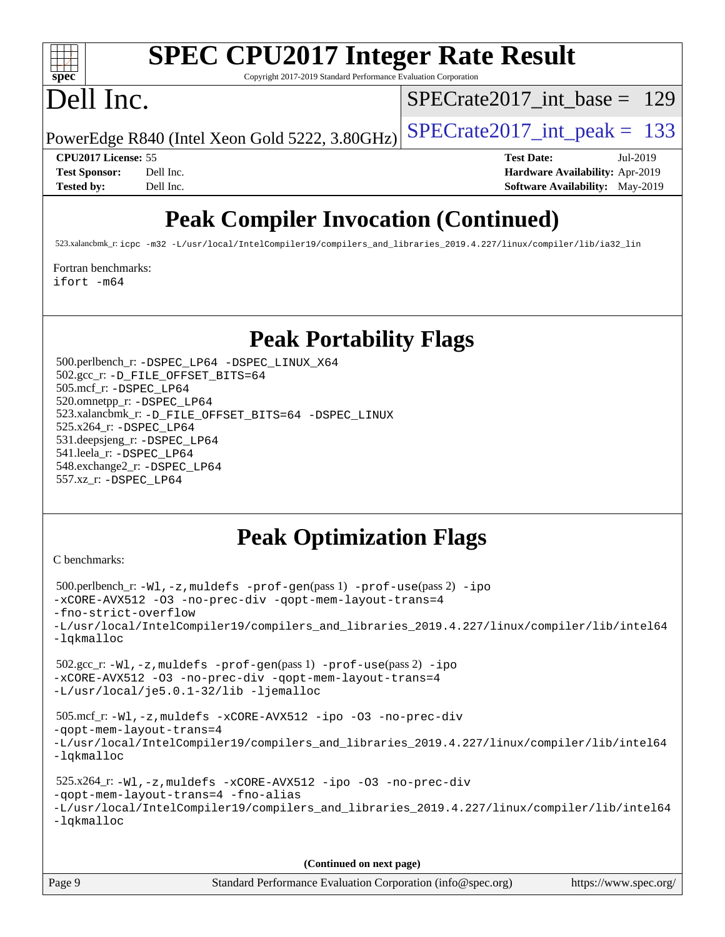

# **[SPEC CPU2017 Integer Rate Result](http://www.spec.org/auto/cpu2017/Docs/result-fields.html#SPECCPU2017IntegerRateResult)**

Copyright 2017-2019 Standard Performance Evaluation Corporation

# Dell Inc.

[SPECrate2017\\_int\\_base =](http://www.spec.org/auto/cpu2017/Docs/result-fields.html#SPECrate2017intbase) 129

PowerEdge R840 (Intel Xeon Gold 5222, 3.80GHz)  $\text{SPECrate}2017\_int\_peak = 133$ 

**[CPU2017 License:](http://www.spec.org/auto/cpu2017/Docs/result-fields.html#CPU2017License)** 55 **[Test Date:](http://www.spec.org/auto/cpu2017/Docs/result-fields.html#TestDate)** Jul-2019 **[Test Sponsor:](http://www.spec.org/auto/cpu2017/Docs/result-fields.html#TestSponsor)** Dell Inc. **[Hardware Availability:](http://www.spec.org/auto/cpu2017/Docs/result-fields.html#HardwareAvailability)** Apr-2019 **[Tested by:](http://www.spec.org/auto/cpu2017/Docs/result-fields.html#Testedby)** Dell Inc. Dell Inc. **[Software Availability:](http://www.spec.org/auto/cpu2017/Docs/result-fields.html#SoftwareAvailability)** May-2019

## **[Peak Compiler Invocation \(Continued\)](http://www.spec.org/auto/cpu2017/Docs/result-fields.html#PeakCompilerInvocation)**

523.xalancbmk\_r: [icpc -m32 -L/usr/local/IntelCompiler19/compilers\\_and\\_libraries\\_2019.4.227/linux/compiler/lib/ia32\\_lin](http://www.spec.org/cpu2017/results/res2019q3/cpu2017-20190805-16514.flags.html#user_peakCXXLD523_xalancbmk_r_intel_icpc_840f965b38320ad10acba6032d6ca4c816e722c432c250f3408feae347068ba449f694544a48cf12cd3bde3495e328e6747ab0f629c2925d3062e2ee144af951)

[Fortran benchmarks](http://www.spec.org/auto/cpu2017/Docs/result-fields.html#Fortranbenchmarks):

[ifort -m64](http://www.spec.org/cpu2017/results/res2019q3/cpu2017-20190805-16514.flags.html#user_FCpeak_intel_ifort_64bit_24f2bb282fbaeffd6157abe4f878425411749daecae9a33200eee2bee2fe76f3b89351d69a8130dd5949958ce389cf37ff59a95e7a40d588e8d3a57e0c3fd751)

### **[Peak Portability Flags](http://www.spec.org/auto/cpu2017/Docs/result-fields.html#PeakPortabilityFlags)**

 500.perlbench\_r: [-DSPEC\\_LP64](http://www.spec.org/cpu2017/results/res2019q3/cpu2017-20190805-16514.flags.html#b500.perlbench_r_peakPORTABILITY_DSPEC_LP64) [-DSPEC\\_LINUX\\_X64](http://www.spec.org/cpu2017/results/res2019q3/cpu2017-20190805-16514.flags.html#b500.perlbench_r_peakCPORTABILITY_DSPEC_LINUX_X64) 502.gcc\_r: [-D\\_FILE\\_OFFSET\\_BITS=64](http://www.spec.org/cpu2017/results/res2019q3/cpu2017-20190805-16514.flags.html#user_peakPORTABILITY502_gcc_r_file_offset_bits_64_5ae949a99b284ddf4e95728d47cb0843d81b2eb0e18bdfe74bbf0f61d0b064f4bda2f10ea5eb90e1dcab0e84dbc592acfc5018bc955c18609f94ddb8d550002c) 505.mcf\_r: [-DSPEC\\_LP64](http://www.spec.org/cpu2017/results/res2019q3/cpu2017-20190805-16514.flags.html#suite_peakPORTABILITY505_mcf_r_DSPEC_LP64) 520.omnetpp\_r: [-DSPEC\\_LP64](http://www.spec.org/cpu2017/results/res2019q3/cpu2017-20190805-16514.flags.html#suite_peakPORTABILITY520_omnetpp_r_DSPEC_LP64) 523.xalancbmk\_r: [-D\\_FILE\\_OFFSET\\_BITS=64](http://www.spec.org/cpu2017/results/res2019q3/cpu2017-20190805-16514.flags.html#user_peakPORTABILITY523_xalancbmk_r_file_offset_bits_64_5ae949a99b284ddf4e95728d47cb0843d81b2eb0e18bdfe74bbf0f61d0b064f4bda2f10ea5eb90e1dcab0e84dbc592acfc5018bc955c18609f94ddb8d550002c) [-DSPEC\\_LINUX](http://www.spec.org/cpu2017/results/res2019q3/cpu2017-20190805-16514.flags.html#b523.xalancbmk_r_peakCXXPORTABILITY_DSPEC_LINUX) 525.x264\_r: [-DSPEC\\_LP64](http://www.spec.org/cpu2017/results/res2019q3/cpu2017-20190805-16514.flags.html#suite_peakPORTABILITY525_x264_r_DSPEC_LP64) 531.deepsjeng\_r: [-DSPEC\\_LP64](http://www.spec.org/cpu2017/results/res2019q3/cpu2017-20190805-16514.flags.html#suite_peakPORTABILITY531_deepsjeng_r_DSPEC_LP64) 541.leela\_r: [-DSPEC\\_LP64](http://www.spec.org/cpu2017/results/res2019q3/cpu2017-20190805-16514.flags.html#suite_peakPORTABILITY541_leela_r_DSPEC_LP64) 548.exchange2\_r: [-DSPEC\\_LP64](http://www.spec.org/cpu2017/results/res2019q3/cpu2017-20190805-16514.flags.html#suite_peakPORTABILITY548_exchange2_r_DSPEC_LP64) 557.xz\_r: [-DSPEC\\_LP64](http://www.spec.org/cpu2017/results/res2019q3/cpu2017-20190805-16514.flags.html#suite_peakPORTABILITY557_xz_r_DSPEC_LP64)

## **[Peak Optimization Flags](http://www.spec.org/auto/cpu2017/Docs/result-fields.html#PeakOptimizationFlags)**

[C benchmarks](http://www.spec.org/auto/cpu2017/Docs/result-fields.html#Cbenchmarks):

```
 500.perlbench_r: -Wl,-z,muldefs -prof-gen(pass 1) -prof-use(pass 2) -ipo
-xCORE-AVX512 -O3 -no-prec-div -qopt-mem-layout-trans=4
-fno-strict-overflow
-L/usr/local/IntelCompiler19/compilers_and_libraries_2019.4.227/linux/compiler/lib/intel64
-lqkmalloc
 502.gcc_r: -Wl,-z,muldefs -prof-gen(pass 1) -prof-use(pass 2) -ipo
-xCORE-AVX512 -O3 -no-prec-div -qopt-mem-layout-trans=4
-L/usr/local/je5.0.1-32/lib -ljemalloc
 505.mcf_r: -Wl,-z,muldefs -xCORE-AVX512 -ipo -O3 -no-prec-div
-qopt-mem-layout-trans=4
-L/usr/local/IntelCompiler19/compilers_and_libraries_2019.4.227/linux/compiler/lib/intel64
-lqkmalloc
 525.x264_r: -Wl,-z,muldefs -xCORE-AVX512 -ipo -O3 -no-prec-div
-qopt-mem-layout-trans=4 -fno-alias
-L/usr/local/IntelCompiler19/compilers_and_libraries_2019.4.227/linux/compiler/lib/intel64
-lqkmalloc
```
**(Continued on next page)**

| Page 9 | Standard Performance Evaluation Corporation (info@spec.org) | https://www.spec.org/ |
|--------|-------------------------------------------------------------|-----------------------|
|--------|-------------------------------------------------------------|-----------------------|